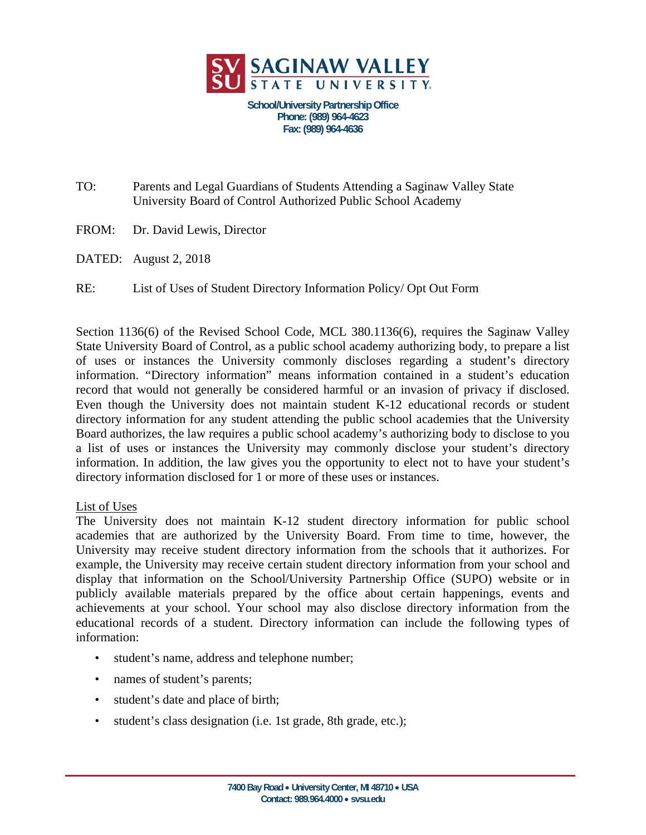

**School/University Partnership Office Phone: (989) 964-4623 Fax: (989) 964-4636** 

TO: Parents and Legal Guardians of Students Attending a Saginaw Valley State University Board of Control Authorized Public School Academy

- FROM: Dr. David Lewis, Director
- DATED: August 2, 2018

RE: List of Uses of Student Directory Information Policy/ Opt Out Form

Section 1136(6) of the Revised School Code, MCL 380.1136(6), requires the Saginaw Valley State University Board of Control, as a public school academy authorizing body, to prepare a list of uses or instances the University commonly discloses regarding a student's directory information. "Directory information" means information contained in a student's education record that would not generally be considered harmful or an invasion of privacy if disclosed. Even though the University does not maintain student K-12 educational records or student directory information for any student attending the public school academies that the University Board authorizes, the law requires a public school academy's authorizing body to disclose to you a list of uses or instances the University may commonly disclose your student's directory information. In addition, the law gives you the opportunity to elect not to have your student's directory information disclosed for 1 or more of these uses or instances.

## List of Uses

The University does not maintain K-12 student directory information for public school academies that are authorized by the University Board. From time to time, however, the University may receive student directory information from the schools that it authorizes. For example, the University may receive certain student directory information from your school and display that information on the School/University Partnership Office (SUPO) website or in publicly available materials prepared by the office about certain happenings, events and achievements at your school. Your school may also disclose directory information from the educational records of a student. Directory information can include the following types of information:

- student's name, address and telephone number;
- names of student's parents;
- student's date and place of birth;
- student's class designation (i.e. 1st grade, 8th grade, etc.);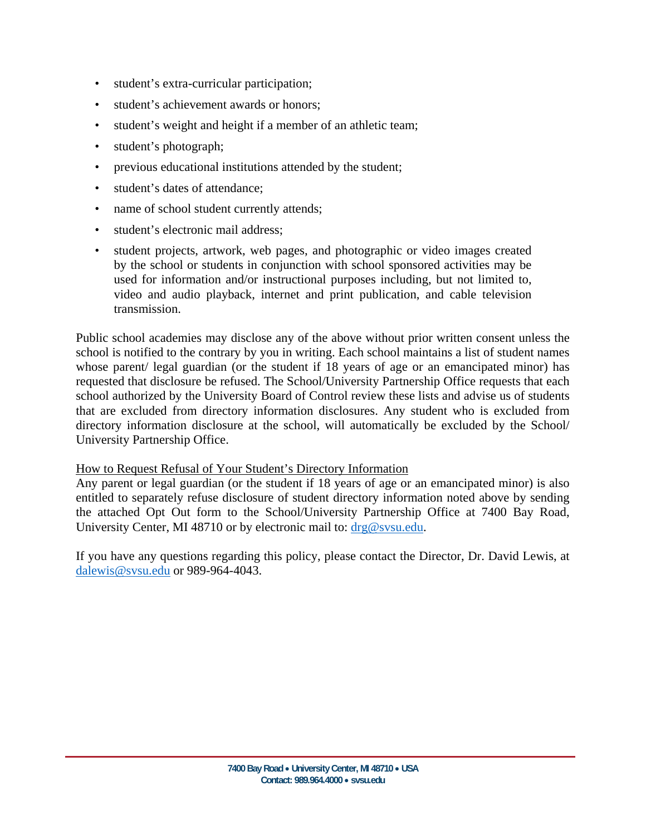- student's extra-curricular participation;
- student's achievement awards or honors;
- student's weight and height if a member of an athletic team;
- student's photograph;
- previous educational institutions attended by the student;
- student's dates of attendance;
- name of school student currently attends;
- student's electronic mail address:
- student projects, artwork, web pages, and photographic or video images created by the school or students in conjunction with school sponsored activities may be used for information and/or instructional purposes including, but not limited to, video and audio playback, internet and print publication, and cable television transmission.

Public school academies may disclose any of the above without prior written consent unless the school is notified to the contrary by you in writing. Each school maintains a list of student names whose parent/ legal guardian (or the student if 18 years of age or an emancipated minor) has requested that disclosure be refused. The School/University Partnership Office requests that each school authorized by the University Board of Control review these lists and advise us of students that are excluded from directory information disclosures. Any student who is excluded from directory information disclosure at the school, will automatically be excluded by the School/ University Partnership Office.

## How to Request Refusal of Your Student's Directory Information

Any parent or legal guardian (or the student if 18 years of age or an emancipated minor) is also entitled to separately refuse disclosure of student directory information noted above by sending the attached Opt Out form to the School/University Partnership Office at 7400 Bay Road, University Center, MI 48710 or by electronic mail to:  $\frac{drg@svsu.edu}{dt}$ .

If you have any questions regarding this policy, please contact the Director, Dr. David Lewis, at dalewis@svsu.edu or 989-964-4043.